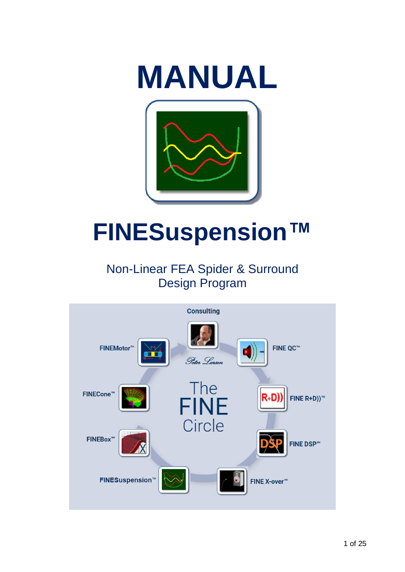

# <span id="page-0-0"></span>**FINESuspension™**

# Non-Linear FEA Spider & Surround Design Program

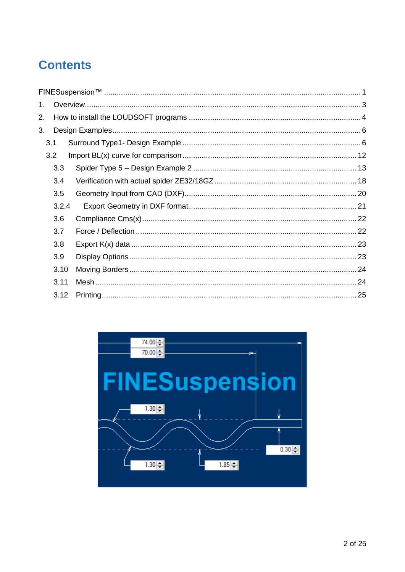# **Contents**

| 3.3   |                              |  |
|-------|------------------------------|--|
| 3.4   |                              |  |
| 3.5   |                              |  |
| 3.2.4 |                              |  |
| 3.6   |                              |  |
| 3.7   |                              |  |
| 3.8   |                              |  |
| 3.9   |                              |  |
| 3.10  |                              |  |
| 3.11  |                              |  |
| 3.12  |                              |  |
|       | 1.<br>2.<br>3.<br>3.1<br>3.2 |  |

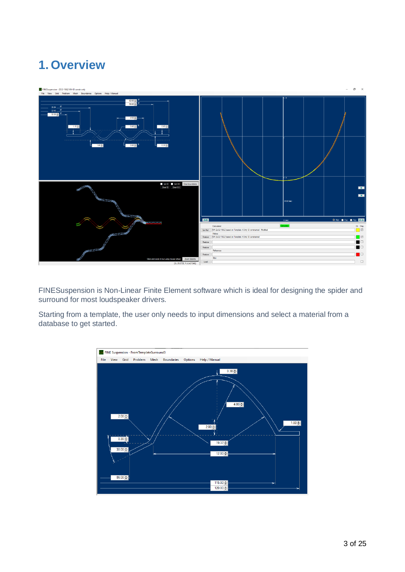# <span id="page-2-0"></span>**1. Overview**



FINESuspension is Non-Linear Finite Element software which is ideal for designing the spider and surround for most loudspeaker drivers.

Starting from a template, the user only needs to input dimensions and select a material from a database to get started.

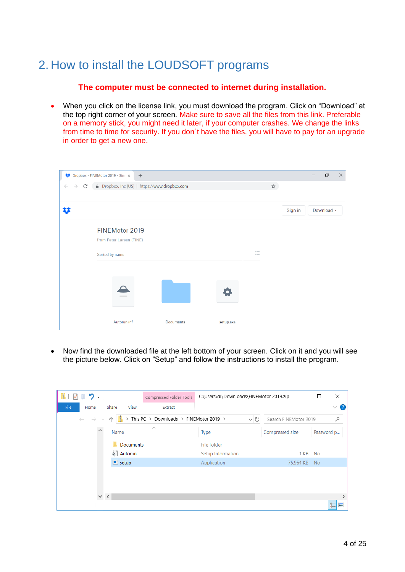# <span id="page-3-0"></span>2. How to install the LOUDSOFT programs

#### **The computer must be connected to internet during installation.**

• When you click on the license link, you must download the program. Click on "Download" at the top right corner of your screen. Make sure to save all the files from this link. Preferable on a memory stick, you might need it later, if your computer crashes. We change the links from time to time for security. If you don´t have the files, you will have to pay for an upgrade in order to get a new one.



• Now find the downloaded file at the left bottom of your screen. Click on it and you will see the picture below. Click on "Setup" and follow the instructions to install the program.

| $\mathbf{C}$<br>マーワー                                                             | Compressed Folder Tools      | C:\Users\dl\Downloads\FINEMotor 2019.zip |                 | ×<br>□        |
|----------------------------------------------------------------------------------|------------------------------|------------------------------------------|-----------------|---------------|
| File<br>Share<br>Home<br>View                                                    | Extract                      |                                          |                 | $\vee$ (?)    |
| > This PC > Downloads > FINEMotor 2019 ><br>$\leftarrow$ $\rightarrow$<br>$\sim$ | V Ü<br>Search FINEMotor 2019 | مر                                       |                 |               |
| $\hat{\phantom{1}}$<br>Name                                                      | $\scriptstyle\wedge$         | <b>Type</b>                              | Compressed size | Password p    |
| <b>Documents</b>                                                                 |                              | File folder                              |                 |               |
| ै Autorun                                                                        |                              | Setup Information                        | 1 KB No         |               |
| $\blacksquare$ setup                                                             |                              | Application                              | 75,964 KB No    |               |
|                                                                                  |                              |                                          |                 |               |
|                                                                                  |                              |                                          |                 |               |
| $\vee$ $\vee$                                                                    |                              |                                          |                 | $\mathcal{P}$ |
|                                                                                  |                              |                                          |                 | 胆<br>E        |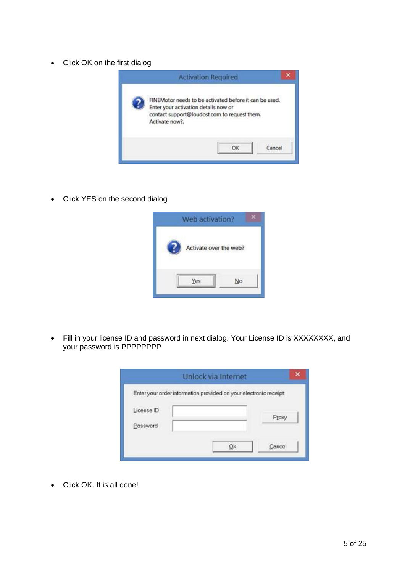• Click OK on the first dialog



• Click YES on the second dialog



• Fill in your license ID and password in next dialog. Your License ID is XXXXXXXX, and your password is PPPPPPPP

|            | Unlock via Internet                                              |       |
|------------|------------------------------------------------------------------|-------|
|            | Enter your order information provided on your electronic receipt |       |
| License ID |                                                                  | Proxy |
| Password   |                                                                  |       |
|            |                                                                  |       |

• Click OK. It is all done!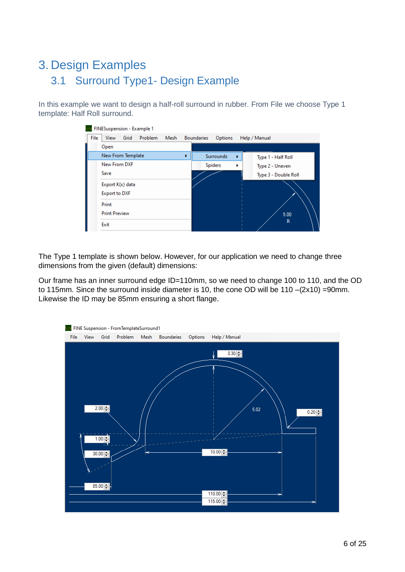# <span id="page-5-1"></span><span id="page-5-0"></span>3. Design Examples 3.1 Surround Type1- Design Example

In this example we want to design a half-roll surround in rubber. From File we choose Type 1 template: Half Roll surround.

|      | FINESuspension - Example 1 |         |      |   |                   |           |   |                      |             |
|------|----------------------------|---------|------|---|-------------------|-----------|---|----------------------|-------------|
| File | Grid<br>View               | Problem | Mesh |   | <b>Boundaries</b> | Options   |   | Help / Manual        |             |
|      | Open                       |         |      |   |                   |           |   |                      |             |
|      | New From Template          |         |      | ь |                   | Surrounds | ٠ | Type 1 - Half Roll   |             |
|      | New From DXF               |         |      |   | <b>Spiders</b>    |           | r | Type 2 - Uneven      |             |
|      | Save                       |         |      |   |                   |           |   | Type 3 - Double Roll |             |
|      | Export K(x) data           |         |      |   |                   |           |   |                      |             |
|      | <b>Export to DXF</b>       |         |      |   |                   |           |   |                      |             |
|      | Print                      |         |      |   |                   |           |   |                      |             |
|      | <b>Print Preview</b>       |         |      |   |                   |           |   |                      | 5.00        |
|      | Exit                       |         |      |   |                   |           |   |                      | $\mathbb R$ |

The Type 1 template is shown below. However, for our application we need to change three dimensions from the given (default) dimensions:

Our frame has an inner surround edge ID=110mm, so we need to change 100 to 110, and the OD to 115mm. Since the surround inside diameter is 10, the cone OD will be 110 –(2x10) =90mm. Likewise the ID may be 85mm ensuring a short flange.

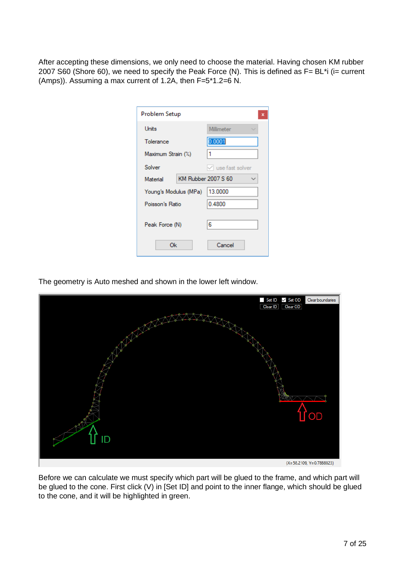After accepting these dimensions, we only need to choose the material. Having chosen KM rubber 2007 S60 (Shore 60), we need to specify the Peak Force (N). This is defined as F= BL\*i (i= current (Amps)). Assuming a max current of 1.2A, then F=5\*1.2=6 N.

| Problem Setup         | ×                      |
|-----------------------|------------------------|
| <b>Units</b>          | Millimeter             |
| Tolerance             | 0.0001                 |
| Maximum Strain (%)    | 1                      |
| Solver                | $\vee$ use fast solver |
| <b>Material</b>       | KM Rubber 2007 S 60    |
| Young's Modulus (MPa) | 13.0000                |
| Poisson's Ratio       | 0.4800                 |
| Peak Force (N)        | 6                      |
| Оk                    | Cancel                 |

The geometry is Auto meshed and shown in the lower left window.



Before we can calculate we must specify which part will be glued to the frame, and which part will be glued to the cone. First click (V) in [Set ID] and point to the inner flange, which should be glued to the cone, and it will be highlighted in green.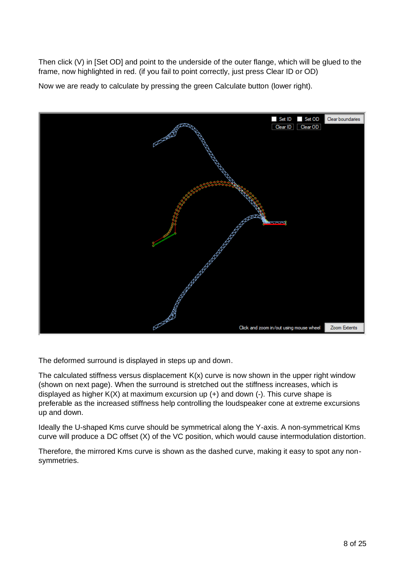Then click (V) in [Set OD] and point to the underside of the outer flange, which will be glued to the frame, now highlighted in red. (if you fail to point correctly, just press Clear ID or OD)

Now we are ready to calculate by pressing the green Calculate button (lower right).



The deformed surround is displayed in steps up and down.

The calculated stiffness versus displacement  $K(x)$  curve is now shown in the upper right window (shown on next page). When the surround is stretched out the stiffness increases, which is displayed as higher  $K(X)$  at maximum excursion up  $(+)$  and down  $(-)$ . This curve shape is preferable as the increased stiffness help controlling the loudspeaker cone at extreme excursions up and down.

Ideally the U-shaped Kms curve should be symmetrical along the Y-axis. A non-symmetrical Kms curve will produce a DC offset (X) of the VC position, which would cause intermodulation distortion.

Therefore, the mirrored Kms curve is shown as the dashed curve, making it easy to spot any nonsymmetries.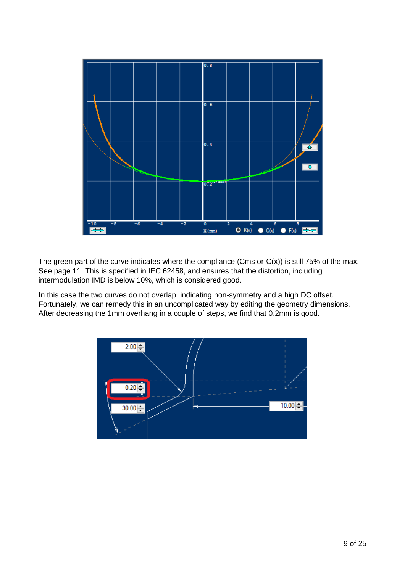

The green part of the curve indicates where the compliance (Cms or  $C(x)$ ) is still 75% of the max. See page 11. This is specified in IEC 62458, and ensures that the distortion, including intermodulation IMD is below 10%, which is considered good.

In this case the two curves do not overlap, indicating non-symmetry and a high DC offset. Fortunately, we can remedy this in an uncomplicated way by editing the geometry dimensions. After decreasing the 1mm overhang in a couple of steps, we find that 0.2mm is good.

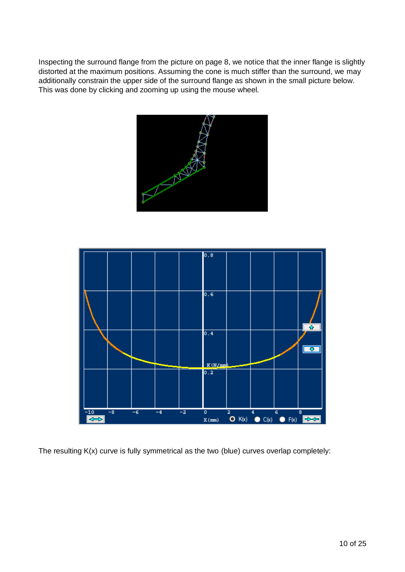Inspecting the surround flange from the picture on page 8, we notice that the inner flange is slightly distorted at the maximum positions. Assuming the cone is much stiffer than the surround, we may additionally constrain the upper side of the surround flange as shown in the small picture below. This was done by clicking and zooming up using the mouse wheel.





The resulting K(x) curve is fully symmetrical as the two (blue) curves overlap completely: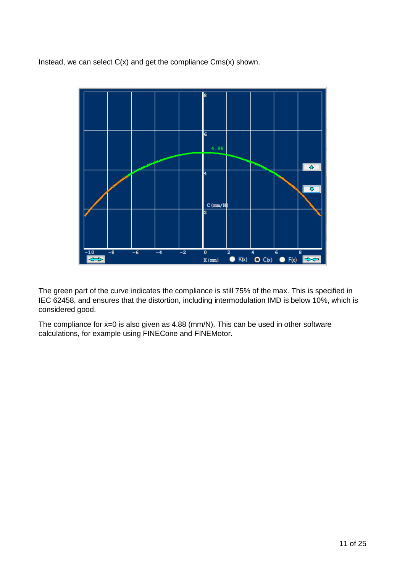Instead, we can select  $C(x)$  and get the compliance  $Cms(x)$  shown.



The green part of the curve indicates the compliance is still 75% of the max. This is specified in IEC 62458, and ensures that the distortion, including intermodulation IMD is below 10%, which is considered good.

The compliance for x=0 is also given as 4.88 (mm/N). This can be used in other software calculations, for example using FINECone and FINEMotor.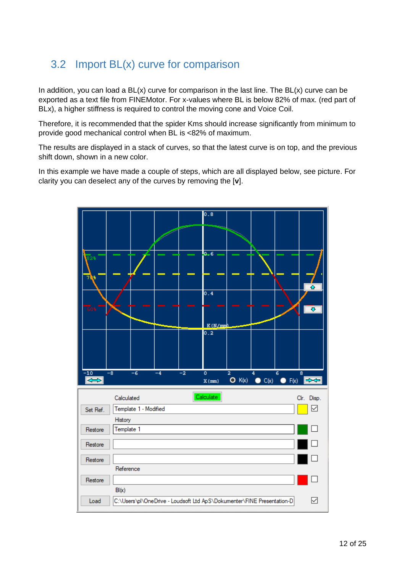#### <span id="page-11-0"></span>3.2 Import BL(x) curve for comparison

In addition, you can load a BL(x) curve for comparison in the last line. The BL(x) curve can be exported as a text file from FINEMotor. For x-values where BL is below 82% of max. (red part of BLx), a higher stiffness is required to control the moving cone and Voice Coil.

Therefore, it is recommended that the spider Kms should increase significantly from minimum to provide good mechanical control when BL is <82% of maximum.

The results are displayed in a stack of curves, so that the latest curve is on top, and the previous shift down, shown in a new color.

In this example we have made a couple of steps, which are all displayed below, see picture. For clarity you can deselect any of the curves by removing the [**v**].

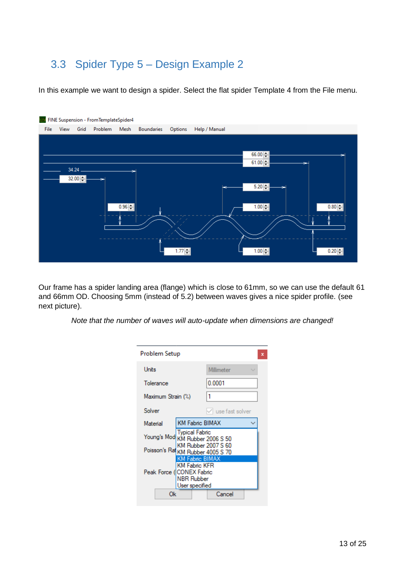#### <span id="page-12-0"></span>3.3 Spider Type 5 – Design Example 2

In this example we want to design a spider. Select the flat spider Template 4 from the File menu.



Our frame has a spider landing area (flange) which is close to 61mm, so we can use the default 61 and 66mm OD. Choosing 5mm (instead of 5.2) between waves gives a nice spider profile. (see next picture).

*Note that the number of waves will auto-update when dimensions are changed!*

| Problem Setup                                            |                                                                                                      |  |                     |  |  |  |  |
|----------------------------------------------------------|------------------------------------------------------------------------------------------------------|--|---------------------|--|--|--|--|
| Units                                                    |                                                                                                      |  | Millimeter          |  |  |  |  |
| Tolerance                                                |                                                                                                      |  | 0.0001              |  |  |  |  |
| Maximum Strain (%)                                       |                                                                                                      |  |                     |  |  |  |  |
| Solver                                                   |                                                                                                      |  | use fast solver     |  |  |  |  |
| Material                                                 | <b>KM Fabric BIMAX</b>                                                                               |  |                     |  |  |  |  |
| Young's Mod                                              | <b>Typical Fabric</b>                                                                                |  | KM Rubber 2006 S 50 |  |  |  |  |
| KM Rubber 2007 S 60<br>Poisson's Rat KM Rubber 4005 S 70 |                                                                                                      |  |                     |  |  |  |  |
|                                                          | KM Fabric BIMAX<br><b>KM Fabric KFR</b><br>Peak Force (ICONEX Fabric<br>NBR Rubber<br>User specified |  |                     |  |  |  |  |
| Cancel<br>Ok                                             |                                                                                                      |  |                     |  |  |  |  |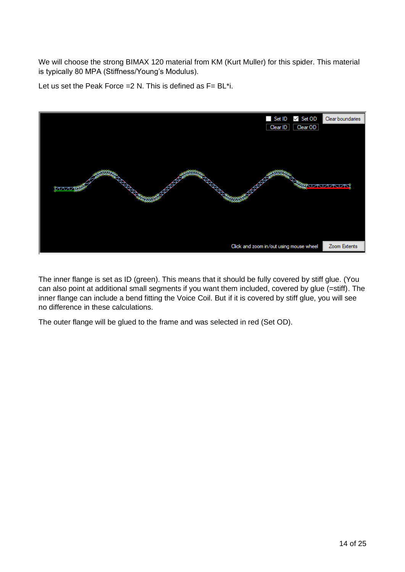We will choose the strong BIMAX 120 material from KM (Kurt Muller) for this spider. This material is typically 80 MPA (Stiffness/Young's Modulus).

Let us set the Peak Force =  $2$  N. This is defined as  $F = BL^*i$ .



The inner flange is set as ID (green). This means that it should be fully covered by stiff glue. (You can also point at additional small segments if you want them included, covered by glue (=stiff). The inner flange can include a bend fitting the Voice Coil. But if it is covered by stiff glue, you will see no difference in these calculations.

The outer flange will be glued to the frame and was selected in red (Set OD).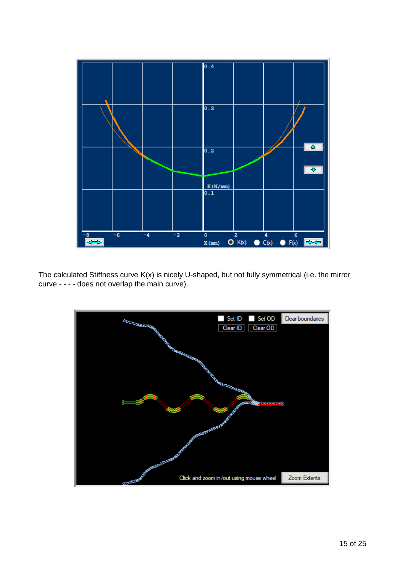

The calculated Stiffness curve K(x) is nicely U-shaped, but not fully symmetrical (i.e. the mirror curve - - - - does not overlap the main curve).

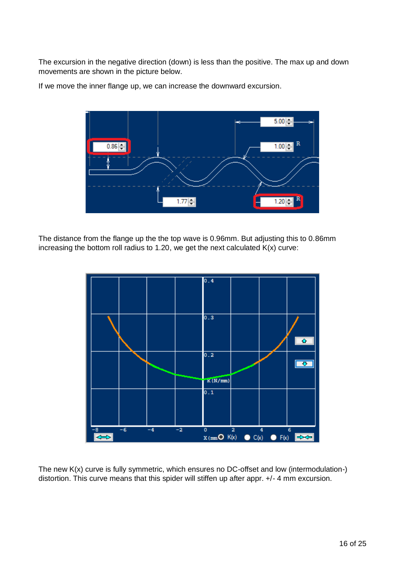The excursion in the negative direction (down) is less than the positive. The max up and down movements are shown in the picture below.



If we move the inner flange up, we can increase the downward excursion.

The distance from the flange up the the top wave is 0.96mm. But adjusting this to 0.86mm increasing the bottom roll radius to 1.20, we get the next calculated  $K(x)$  curve:



The new K(x) curve is fully symmetric, which ensures no DC-offset and low (intermodulation-) distortion. This curve means that this spider will stiffen up after appr. +/- 4 mm excursion.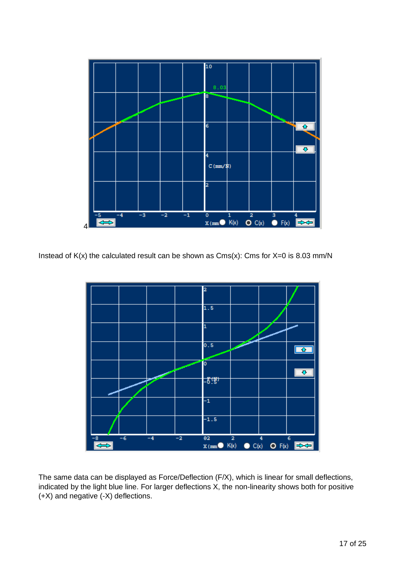

Instead of  $K(x)$  the calculated result can be shown as  $Cms(x)$ : Cms for  $X=0$  is 8.03 mm/N



The same data can be displayed as Force/Deflection (F/X), which is linear for small deflections, indicated by the light blue line. For larger deflections X, the non-linearity shows both for positive (+X) and negative (-X) deflections.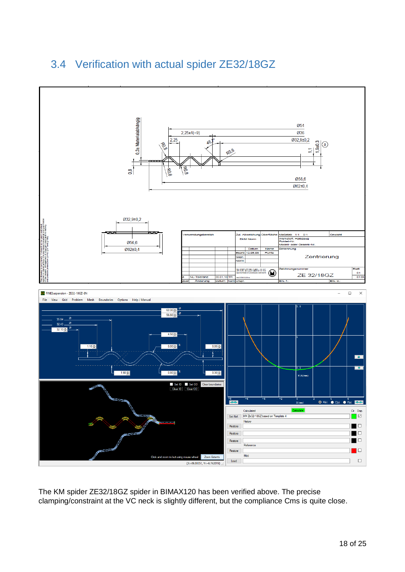### <span id="page-17-0"></span>3.4 Verification with actual spider ZE32/18GZ



The KM spider ZE32/18GZ spider in BIMAX120 has been verified above. The precise clamping/constraint at the VC neck is slightly different, but the compliance Cms is quite close.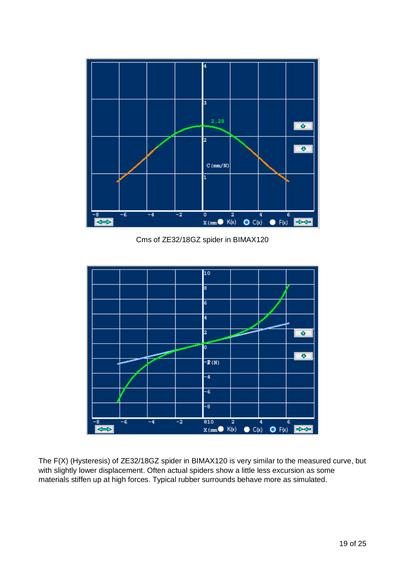

Cms of ZE32/18GZ spider in BIMAX120



The F(X) (Hysteresis) of ZE32/18GZ spider in BIMAX120 is very similar to the measured curve, but with slightly lower displacement. Often actual spiders show a little less excursion as some materials stiffen up at high forces. Typical rubber surrounds behave more as simulated.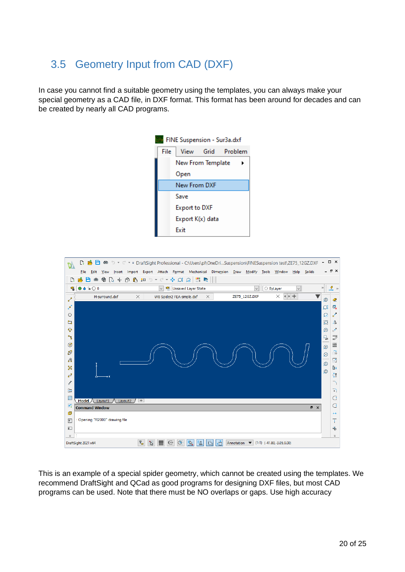#### <span id="page-19-0"></span>3.5 Geometry Input from CAD (DXF)

In case you cannot find a suitable geometry using the templates, you can always make your special geometry as a CAD file, in DXF format. This format has been around for decades and can be created by nearly all CAD programs.





This is an example of a special spider geometry, which cannot be created using the templates. We recommend DraftSight and QCad as good programs for designing DXF files, but most CAD programs can be used. Note that there must be NO overlaps or gaps. Use high accuracy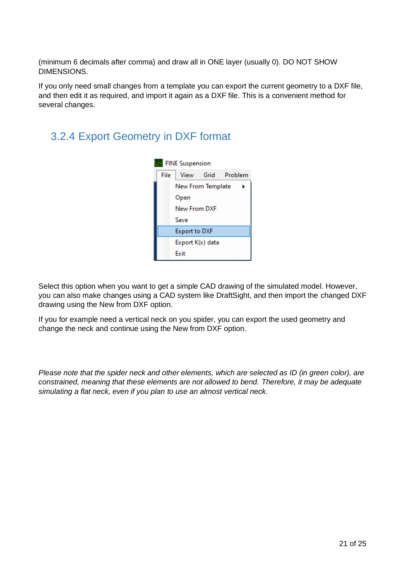(minimum 6 decimals after comma) and draw all in ONE layer (usually 0). DO NOT SHOW DIMENSIONS.

If you only need small changes from a template you can export the current geometry to a DXF file, and then edit it as required, and import it again as a DXF file. This is a convenient method for several changes.

#### <span id="page-20-0"></span>3.2.4 Export Geometry in DXF format



Select this option when you want to get a simple CAD drawing of the simulated model. However, you can also make changes using a CAD system like DraftSight, and then import the changed DXF drawing using the New from DXF option.

If you for example need a vertical neck on you spider, you can export the used geometry and change the neck and continue using the New from DXF option.

*Please note that the spider neck and other elements, which are selected as ID (in green color), are constrained, meaning that these elements are not allowed to bend. Therefore, it may be adequate simulating a flat neck, even if you plan to use an almost vertical neck.*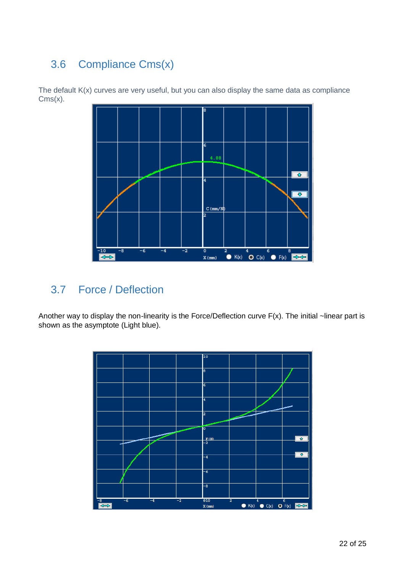### <span id="page-21-0"></span>3.6 Compliance Cms(x)

The default K(x) curves are very useful, but you can also display the same data as compliance Cms(x).



#### <span id="page-21-1"></span>3.7 Force / Deflection

Another way to display the non-linearity is the Force/Deflection curve F(x). The initial ~linear part is shown as the asymptote (Light blue).

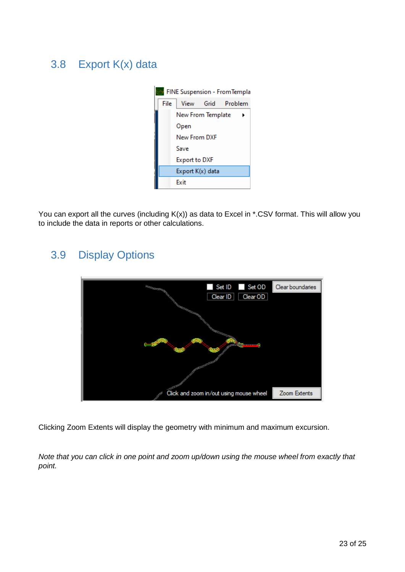### <span id="page-22-0"></span>3.8 Export K(x) data



You can export all the curves (including K(x)) as data to Excel in \*.CSV format. This will allow you to include the data in reports or other calculations.

#### 3.9 Display Options

<span id="page-22-1"></span>

Clicking Zoom Extents will display the geometry with minimum and maximum excursion.

*Note that you can click in one point and zoom up/down using the mouse wheel from exactly that point.*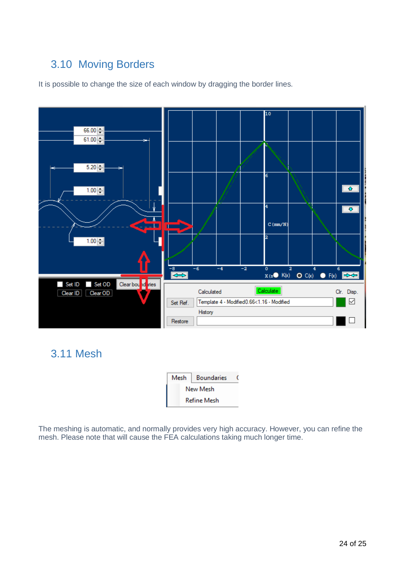#### <span id="page-23-0"></span>3.10 Moving Borders

It is possible to change the size of each window by dragging the border lines.



<span id="page-23-1"></span>3.11 Mesh

| Mesh               | <b>Boundaries</b> |  |  |  |  |
|--------------------|-------------------|--|--|--|--|
|                    | New Mesh          |  |  |  |  |
| <b>Refine Mesh</b> |                   |  |  |  |  |

The meshing is automatic, and normally provides very high accuracy. However, you can refine the mesh. Please note that will cause the FEA calculations taking much longer time.